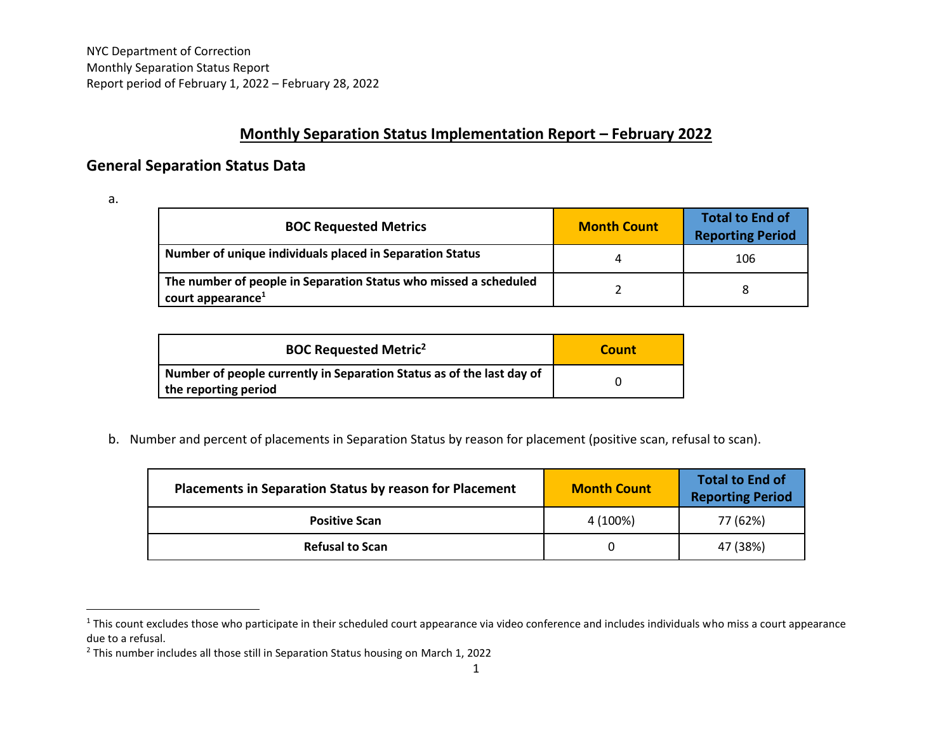## **Monthly Separation Status Implementation Report – February 2022**

## **General Separation Status Data**

a.

| <b>BOC Requested Metrics</b>                                                                      | <b>Month Count</b> | <b>Total to End of</b><br><b>Reporting Period</b> |
|---------------------------------------------------------------------------------------------------|--------------------|---------------------------------------------------|
| Number of unique individuals placed in Separation Status                                          |                    | 106                                               |
| The number of people in Separation Status who missed a scheduled<br>court appearance <sup>1</sup> |                    |                                                   |

| <b>BOC Requested Metric<sup>2</sup></b>                                                       | Count |
|-----------------------------------------------------------------------------------------------|-------|
| Number of people currently in Separation Status as of the last day of<br>the reporting period |       |

b. Number and percent of placements in Separation Status by reason for placement (positive scan, refusal to scan).

| <b>Placements in Separation Status by reason for Placement</b> | <b>Month Count</b> | <b>Total to End of</b><br><b>Reporting Period</b> |
|----------------------------------------------------------------|--------------------|---------------------------------------------------|
| <b>Positive Scan</b>                                           | 4 (100%)           | 77 (62%)                                          |
| <b>Refusal to Scan</b>                                         |                    | 47 (38%)                                          |

<sup>&</sup>lt;sup>1</sup> This count excludes those who participate in their scheduled court appearance via video conference and includes individuals who miss a court appearance due to a refusal.

<sup>2</sup> This number includes all those still in Separation Status housing on March 1, 2022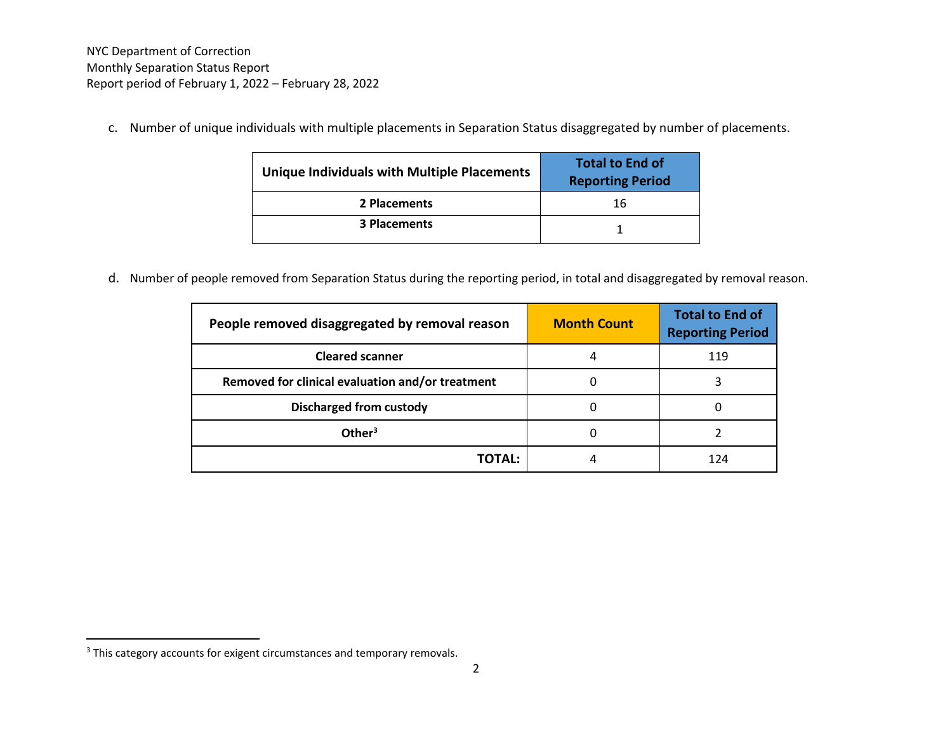c. Number of unique individuals with multiple placements in Separation Status disaggregated by number of placements.

| Unique Individuals with Multiple Placements | <b>Total to End of</b><br><b>Reporting Period</b> |
|---------------------------------------------|---------------------------------------------------|
| 2 Placements                                | 16                                                |
| <b>3 Placements</b>                         |                                                   |

d. Number of people removed from Separation Status during the reporting period, in total and disaggregated by removal reason.

| People removed disaggregated by removal reason   | <b>Month Count</b> | <b>Total to End of</b><br><b>Reporting Period</b> |
|--------------------------------------------------|--------------------|---------------------------------------------------|
| <b>Cleared scanner</b>                           |                    | 119                                               |
| Removed for clinical evaluation and/or treatment |                    |                                                   |
| <b>Discharged from custody</b>                   |                    |                                                   |
| Other <sup>3</sup>                               |                    |                                                   |
| TOTAL:                                           |                    | 174                                               |

<sup>&</sup>lt;sup>3</sup> This category accounts for exigent circumstances and temporary removals.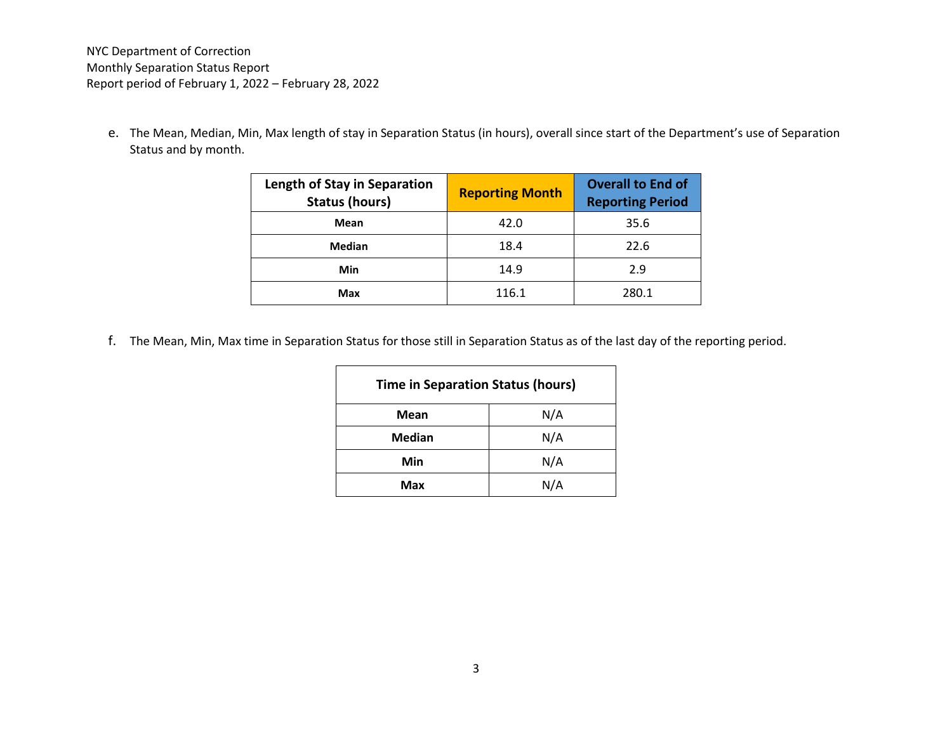e. The Mean, Median, Min, Max length of stay in Separation Status (in hours), overall since start of the Department's use of Separation Status and by month.

| <b>Length of Stay in Separation</b><br><b>Status (hours)</b> | <b>Reporting Month</b> | <b>Overall to End of</b><br><b>Reporting Period</b> |
|--------------------------------------------------------------|------------------------|-----------------------------------------------------|
| Mean                                                         | 42.0                   | 35.6                                                |
| Median                                                       | 18.4                   | 22.6                                                |
| Min                                                          | 14.9                   | 2.9                                                 |
| Max                                                          | 116.1                  | 280.1                                               |

f. The Mean, Min, Max time in Separation Status for those still in Separation Status as of the last day of the reporting period.

| <b>Time in Separation Status (hours)</b> |     |  |
|------------------------------------------|-----|--|
| <b>Mean</b>                              | N/A |  |
| <b>Median</b>                            | N/A |  |
| Min                                      | N/A |  |
| Max                                      | N/A |  |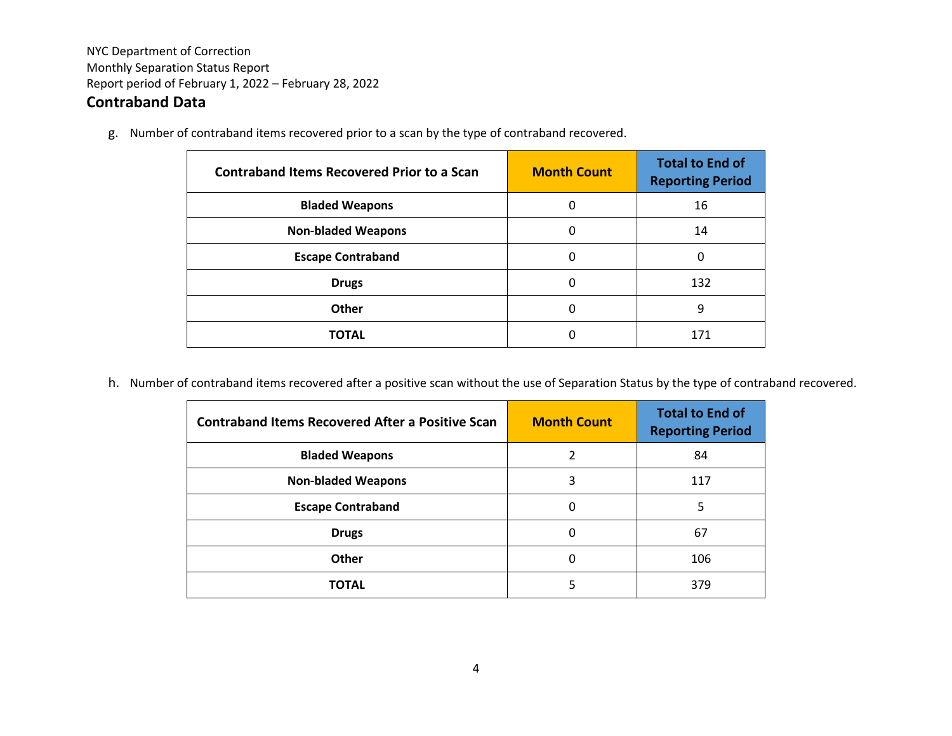## **Contraband Data**

g. Number of contraband items recovered prior to a scan by the type of contraband recovered.

| <b>Contraband Items Recovered Prior to a Scan</b> | <b>Month Count</b> | <b>Total to End of</b><br><b>Reporting Period</b> |
|---------------------------------------------------|--------------------|---------------------------------------------------|
| <b>Bladed Weapons</b>                             | 0                  | 16                                                |
| <b>Non-bladed Weapons</b>                         | 0                  | 14                                                |
| <b>Escape Contraband</b>                          | 0                  | 0                                                 |
| <b>Drugs</b>                                      | 0                  | 132                                               |
| Other                                             | 0                  | 9                                                 |
| <b>TOTAL</b>                                      | 0                  | 171                                               |

h. Number of contraband items recovered after a positive scan without the use of Separation Status by the type of contraband recovered.

| <b>Contraband Items Recovered After a Positive Scan</b> | <b>Month Count</b> | <b>Total to End of</b><br><b>Reporting Period</b> |
|---------------------------------------------------------|--------------------|---------------------------------------------------|
| <b>Bladed Weapons</b>                                   | 2                  | 84                                                |
| <b>Non-bladed Weapons</b>                               | 3                  | 117                                               |
| <b>Escape Contraband</b>                                | 0                  | 5                                                 |
| <b>Drugs</b>                                            | 0                  | 67                                                |
| Other                                                   | 0                  | 106                                               |
| <b>TOTAL</b>                                            | 5                  | 379                                               |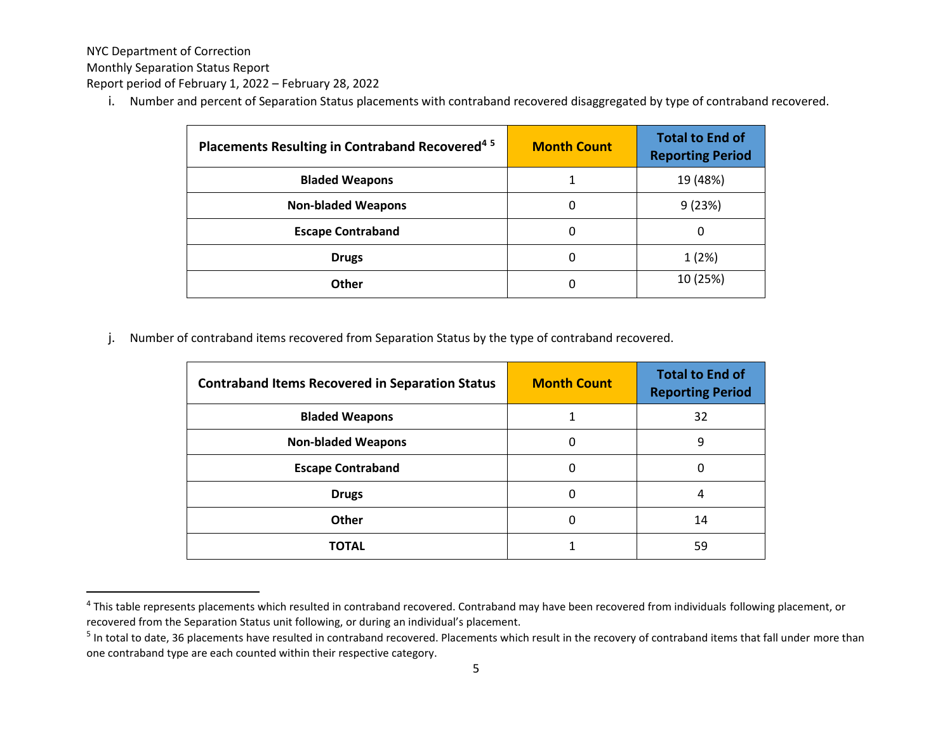NYC Department of Correction

Monthly Separation Status Report

Report period of February 1, 2022 – February 28, 2022

i. Number and percent of Separation Status placements with contraband recovered disaggregated by type of contraband recovered.

| Placements Resulting in Contraband Recovered <sup>45</sup> | <b>Month Count</b> | <b>Total to End of</b><br><b>Reporting Period</b> |
|------------------------------------------------------------|--------------------|---------------------------------------------------|
| <b>Bladed Weapons</b>                                      |                    | 19 (48%)                                          |
| <b>Non-bladed Weapons</b>                                  | 0                  | 9(23%)                                            |
| <b>Escape Contraband</b>                                   | 0                  | 0                                                 |
| <b>Drugs</b>                                               | 0                  | 1(2%)                                             |
| Other                                                      | 0                  | 10 (25%)                                          |

j. Number of contraband items recovered from Separation Status by the type of contraband recovered.

| <b>Contraband Items Recovered in Separation Status</b> | <b>Month Count</b> | <b>Total to End of</b><br><b>Reporting Period</b> |
|--------------------------------------------------------|--------------------|---------------------------------------------------|
| <b>Bladed Weapons</b>                                  |                    | 32                                                |
| <b>Non-bladed Weapons</b>                              | 0                  | 9                                                 |
| <b>Escape Contraband</b>                               | 0                  | 0                                                 |
| <b>Drugs</b>                                           | 0                  | 4                                                 |
| <b>Other</b>                                           | 0                  | 14                                                |
| TOTAL                                                  |                    | 59                                                |

<sup>&</sup>lt;sup>4</sup> This table represents placements which resulted in contraband recovered. Contraband may have been recovered from individuals following placement, or recovered from the Separation Status unit following, or during an individual's placement.

<sup>&</sup>lt;sup>5</sup> In total to date, 36 placements have resulted in contraband recovered. Placements which result in the recovery of contraband items that fall under more than one contraband type are each counted within their respective category.